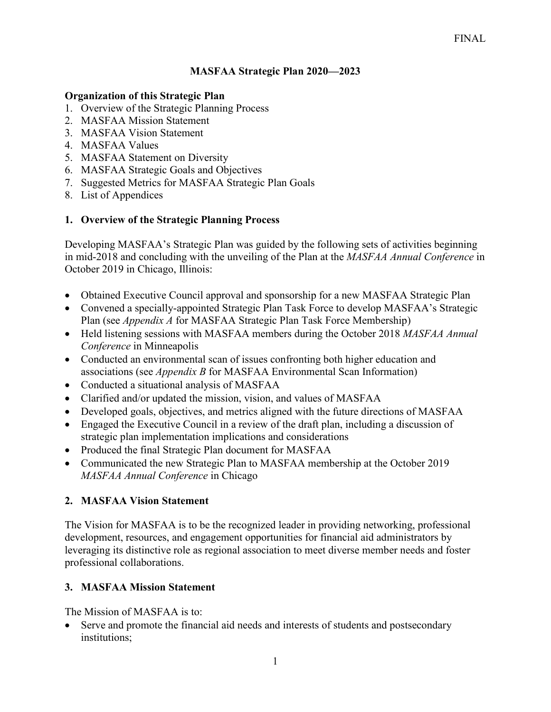### **MASFAA Strategic Plan 2020—2023**

#### **Organization of this Strategic Plan**

- 1. Overview of the Strategic Planning Process
- 2. MASFAA Mission Statement
- 3. MASFAA Vision Statement
- 4. MASFAA Values
- 5. MASFAA Statement on Diversity
- 6. MASFAA Strategic Goals and Objectives
- 7. Suggested Metrics for MASFAA Strategic Plan Goals
- 8. List of Appendices

### **1. Overview of the Strategic Planning Process**

Developing MASFAA's Strategic Plan was guided by the following sets of activities beginning in mid-2018 and concluding with the unveiling of the Plan at the *MASFAA Annual Conference* in October 2019 in Chicago, Illinois:

- Obtained Executive Council approval and sponsorship for a new MASFAA Strategic Plan
- Convened a specially-appointed Strategic Plan Task Force to develop MASFAA's Strategic Plan (see *Appendix A* for MASFAA Strategic Plan Task Force Membership)
- Held listening sessions with MASFAA members during the October 2018 *MASFAA Annual Conference* in Minneapolis
- Conducted an environmental scan of issues confronting both higher education and associations (see *Appendix B* for MASFAA Environmental Scan Information)
- Conducted a situational analysis of MASFAA
- Clarified and/or updated the mission, vision, and values of MASFAA
- Developed goals, objectives, and metrics aligned with the future directions of MASFAA
- Engaged the Executive Council in a review of the draft plan, including a discussion of strategic plan implementation implications and considerations
- Produced the final Strategic Plan document for MASFAA
- Communicated the new Strategic Plan to MASFAA membership at the October 2019 *MASFAA Annual Conference* in Chicago

### **2. MASFAA Vision Statement**

The Vision for MASFAA is to be the recognized leader in providing networking, professional development, resources, and engagement opportunities for financial aid administrators by leveraging its distinctive role as regional association to meet diverse member needs and foster professional collaborations.

### **3. MASFAA Mission Statement**

The Mission of MASFAA is to:

Serve and promote the financial aid needs and interests of students and postsecondary institutions;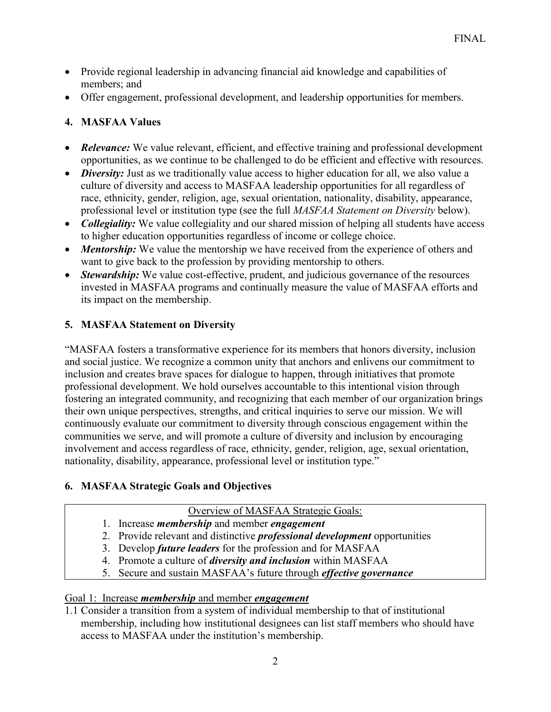- Provide regional leadership in advancing financial aid knowledge and capabilities of members; and
- Offer engagement, professional development, and leadership opportunities for members.

# **4. MASFAA Values**

- *Relevance:* We value relevant, efficient, and effective training and professional development opportunities, as we continue to be challenged to do be efficient and effective with resources.
- *Diversity*: Just as we traditionally value access to higher education for all, we also value a culture of diversity and access to MASFAA leadership opportunities for all regardless of race, ethnicity, gender, religion, age, sexual orientation, nationality, disability, appearance, professional level or institution type (see the full *MASFAA Statement on Diversity* below).
- *Collegiality:* We value collegiality and our shared mission of helping all students have access to higher education opportunities regardless of income or college choice.
- *Mentorship:* We value the mentorship we have received from the experience of others and want to give back to the profession by providing mentorship to others.
- *Stewardship:* We value cost-effective, prudent, and judicious governance of the resources invested in MASFAA programs and continually measure the value of MASFAA efforts and its impact on the membership.

# **5. MASFAA Statement on Diversity**

"MASFAA fosters a transformative experience for its members that honors diversity, inclusion and social justice. We recognize a common unity that anchors and enlivens our commitment to inclusion and creates brave spaces for dialogue to happen, through initiatives that promote professional development. We hold ourselves accountable to this intentional vision through fostering an integrated community, and recognizing that each member of our organization brings their own unique perspectives, strengths, and critical inquiries to serve our mission. We will continuously evaluate our commitment to diversity through conscious engagement within the communities we serve, and will promote a culture of diversity and inclusion by encouraging involvement and access regardless of race, ethnicity, gender, religion, age, sexual orientation, nationality, disability, appearance, professional level or institution type."

# **6. MASFAA Strategic Goals and Objectives**

### Overview of MASFAA Strategic Goals:

- 1. Increase *membership* and member *engagement*
- 2. Provide relevant and distinctive *professional development* opportunities
- 3. Develop *future leaders* for the profession and for MASFAA
- 4. Promote a culture of *diversity and inclusion* within MASFAA
- 5. Secure and sustain MASFAA's future through *effective governance*

# Goal 1: Increase *membership* and member *engagement*

1.1 Consider a transition from a system of individual membership to that of institutional membership, including how institutional designees can list staff members who should have access to MASFAA under the institution's membership.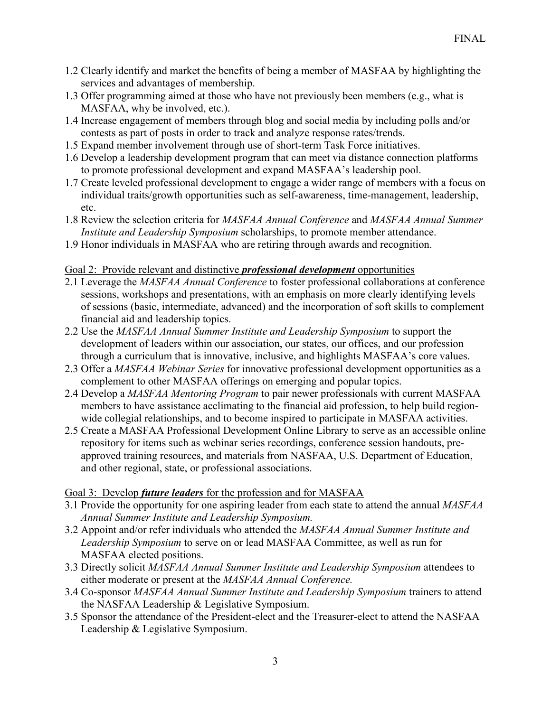- 1.2 Clearly identify and market the benefits of being a member of MASFAA by highlighting the services and advantages of membership.
- 1.3 Offer programming aimed at those who have not previously been members (e.g., what is MASFAA, why be involved, etc.).
- 1.4 Increase engagement of members through blog and social media by including polls and/or contests as part of posts in order to track and analyze response rates/trends.
- 1.5 Expand member involvement through use of short-term Task Force initiatives.
- 1.6 Develop a leadership development program that can meet via distance connection platforms to promote professional development and expand MASFAA's leadership pool.
- 1.7 Create leveled professional development to engage a wider range of members with a focus on individual traits/growth opportunities such as self-awareness, time-management, leadership, etc.
- 1.8 Review the selection criteria for *MASFAA Annual Conference* and *MASFAA Annual Summer Institute and Leadership Symposium* scholarships, to promote member attendance.
- 1.9 Honor individuals in MASFAA who are retiring through awards and recognition.

### Goal 2: Provide relevant and distinctive *professional development* opportunities

- 2.1 Leverage the *MASFAA Annual Conference* to foster professional collaborations at conference sessions, workshops and presentations, with an emphasis on more clearly identifying levels of sessions (basic, intermediate, advanced) and the incorporation of soft skills to complement financial aid and leadership topics.
- 2.2 Use the *MASFAA Annual Summer Institute and Leadership Symposium* to support the development of leaders within our association, our states, our offices, and our profession through a curriculum that is innovative, inclusive, and highlights MASFAA's core values.
- 2.3 Offer a *MASFAA Webinar Series* for innovative professional development opportunities as a complement to other MASFAA offerings on emerging and popular topics.
- 2.4 Develop a *MASFAA Mentoring Program* to pair newer professionals with current MASFAA members to have assistance acclimating to the financial aid profession, to help build regionwide collegial relationships, and to become inspired to participate in MASFAA activities.
- 2.5 Create a MASFAA Professional Development Online Library to serve as an accessible online repository for items such as webinar series recordings, conference session handouts, preapproved training resources, and materials from NASFAA, U.S. Department of Education, and other regional, state, or professional associations.

### Goal 3: Develop *future leaders* for the profession and for MASFAA

- 3.1 Provide the opportunity for one aspiring leader from each state to attend the annual *MASFAA Annual Summer Institute and Leadership Symposium.*
- 3.2 Appoint and/or refer individuals who attended the *MASFAA Annual Summer Institute and Leadership Symposium* to serve on or lead MASFAA Committee, as well as run for MASFAA elected positions.
- 3.3 Directly solicit *MASFAA Annual Summer Institute and Leadership Symposium* attendees to either moderate or present at the *MASFAA Annual Conference.*
- 3.4 Co-sponsor *MASFAA Annual Summer Institute and Leadership Symposium* trainers to attend the NASFAA Leadership & Legislative Symposium.
- 3.5 Sponsor the attendance of the President-elect and the Treasurer-elect to attend the NASFAA Leadership & Legislative Symposium.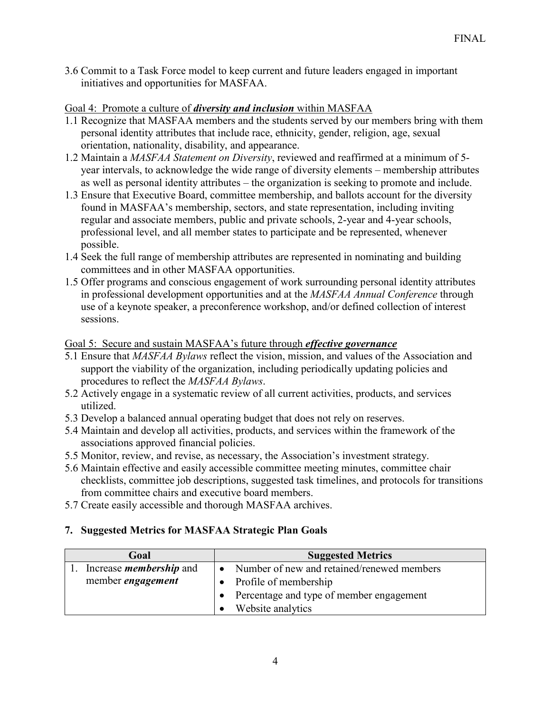3.6 Commit to a Task Force model to keep current and future leaders engaged in important initiatives and opportunities for MASFAA.

#### Goal 4: Promote a culture of *diversity and inclusion* within MASFAA

- 1.1 Recognize that MASFAA members and the students served by our members bring with them personal identity attributes that include race, ethnicity, gender, religion, age, sexual orientation, nationality, disability, and appearance.
- 1.2 Maintain a *MASFAA Statement on Diversity*, reviewed and reaffirmed at a minimum of 5 year intervals, to acknowledge the wide range of diversity elements – membership attributes as well as personal identity attributes – the organization is seeking to promote and include.
- 1.3 Ensure that Executive Board, committee membership, and ballots account for the diversity found in MASFAA's membership, sectors, and state representation, including inviting regular and associate members, public and private schools, 2-year and 4-year schools, professional level, and all member states to participate and be represented, whenever possible.
- 1.4 Seek the full range of membership attributes are represented in nominating and building committees and in other MASFAA opportunities.
- 1.5 Offer programs and conscious engagement of work surrounding personal identity attributes in professional development opportunities and at the *MASFAA Annual Conference* through use of a keynote speaker, a preconference workshop, and/or defined collection of interest sessions.

#### Goal 5: Secure and sustain MASFAA's future through *effective governance*

- 5.1 Ensure that *MASFAA Bylaws* reflect the vision, mission, and values of the Association and support the viability of the organization, including periodically updating policies and procedures to reflect the *MASFAA Bylaws*.
- 5.2 Actively engage in a systematic review of all current activities, products, and services utilized.
- 5.3 Develop a balanced annual operating budget that does not rely on reserves.
- 5.4 Maintain and develop all activities, products, and services within the framework of the associations approved financial policies.
- 5.5 Monitor, review, and revise, as necessary, the Association's investment strategy.
- 5.6 Maintain effective and easily accessible committee meeting minutes, committee chair checklists, committee job descriptions, suggested task timelines, and protocols for transitions from committee chairs and executive board members.
- 5.7 Create easily accessible and thorough MASFAA archives.

### **7. Suggested Metrics for MASFAA Strategic Plan Goals**

| Goal                           | <b>Suggested Metrics</b>                   |
|--------------------------------|--------------------------------------------|
| Increase <i>membership</i> and | Number of new and retained/renewed members |
| member <i>engagement</i>       | Profile of membership                      |
|                                | Percentage and type of member engagement   |
|                                | Website analytics                          |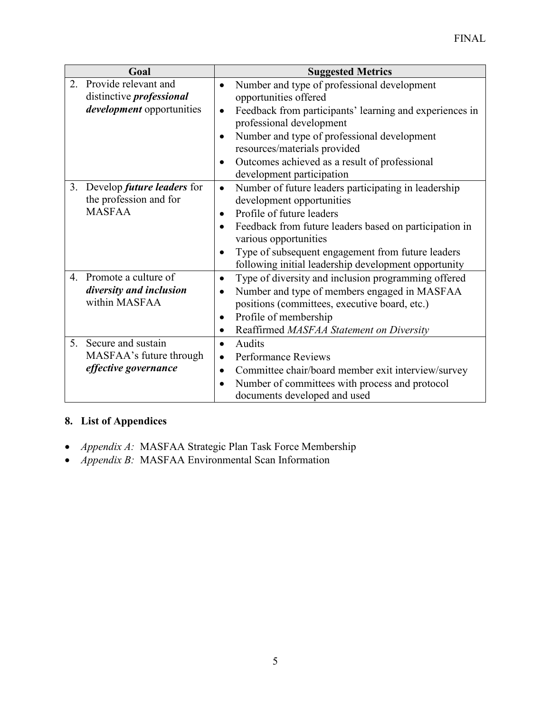| Goal                                                              | <b>Suggested Metrics</b>                                                                                               |
|-------------------------------------------------------------------|------------------------------------------------------------------------------------------------------------------------|
| Provide relevant and<br>2.<br>distinctive <i>professional</i>     | Number and type of professional development<br>$\bullet$<br>opportunities offered                                      |
| <i>development</i> opportunities                                  | Feedback from participants' learning and experiences in<br>$\bullet$<br>professional development                       |
|                                                                   | Number and type of professional development<br>$\bullet$<br>resources/materials provided                               |
|                                                                   | Outcomes achieved as a result of professional<br>$\bullet$<br>development participation                                |
| Develop <i>future leaders</i> for<br>3.<br>the profession and for | Number of future leaders participating in leadership<br>$\bullet$<br>development opportunities                         |
| <b>MASFAA</b>                                                     | Profile of future leaders<br>$\bullet$                                                                                 |
|                                                                   | Feedback from future leaders based on participation in<br>$\bullet$<br>various opportunities                           |
|                                                                   | Type of subsequent engagement from future leaders<br>$\bullet$<br>following initial leadership development opportunity |
| Promote a culture of<br>$\overline{4}$ .                          | Type of diversity and inclusion programming offered<br>$\bullet$                                                       |
| diversity and inclusion                                           | Number and type of members engaged in MASFAA                                                                           |
| within MASFAA                                                     | positions (committees, executive board, etc.)                                                                          |
|                                                                   | Profile of membership<br>$\bullet$                                                                                     |
|                                                                   | Reaffirmed MASFAA Statement on Diversity<br>$\bullet$                                                                  |
| Secure and sustain<br>5 <sub>1</sub>                              | Audits<br>$\bullet$                                                                                                    |
| MASFAA's future through                                           | <b>Performance Reviews</b><br>$\bullet$                                                                                |
| effective governance                                              | Committee chair/board member exit interview/survey<br>$\bullet$                                                        |
|                                                                   | Number of committees with process and protocol<br>$\bullet$<br>documents developed and used                            |

# **8. List of Appendices**

- *Appendix A:* MASFAA Strategic Plan Task Force Membership
- *Appendix B:* MASFAA Environmental Scan Information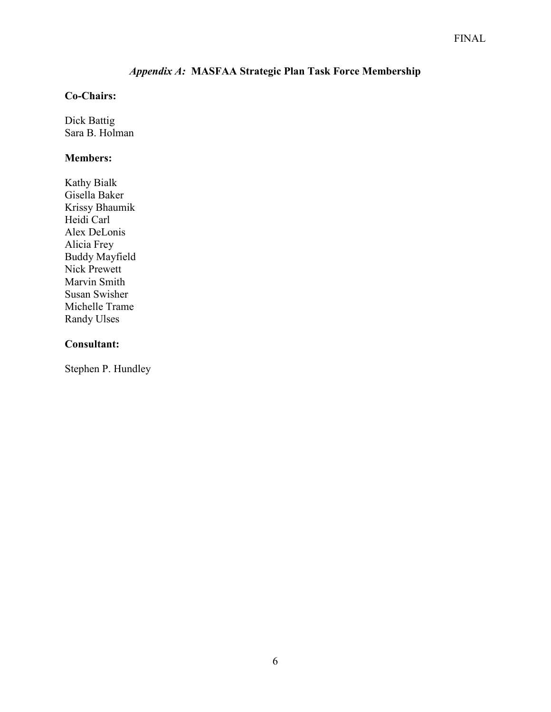# *Appendix A:* **MASFAA Strategic Plan Task Force Membership**

### **Co-Chairs:**

Dick Battig Sara B. Holman

#### **Members:**

Kathy Bialk Gisella Baker Krissy Bhaumik Heidi Carl Alex DeLonis Alicia Frey Buddy Mayfield Nick Prewett Marvin Smith Susan Swisher Michelle Trame Randy Ulses

### **Consultant:**

Stephen P. Hundley